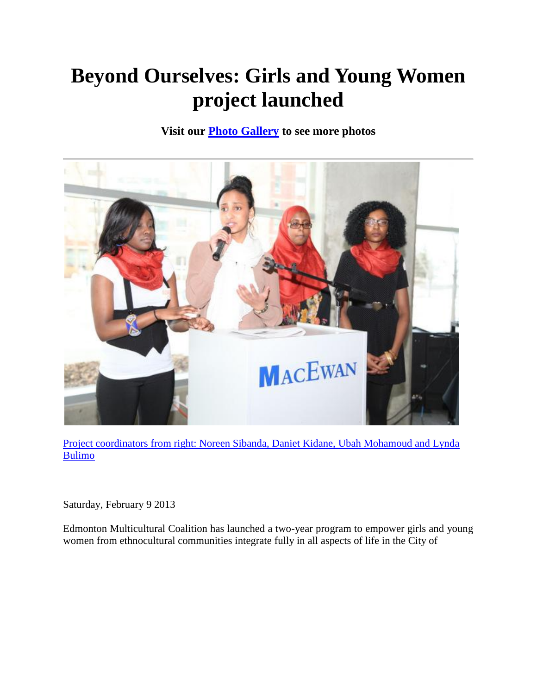## **Beyond Ourselves: Girls and Young Women project launched**

**Visit our [Photo Gallery](http://www.emcoalition.ca/photo-gallery/) to see more photos**



[Project coordinators from right: Noreen Sibanda, Daniet Kidane, Ubah Mohamoud and Lynda](http://www.emcoalition.ca/wp-content/uploads/2013/02/IMG_1376.jpg)  [Bulimo](http://www.emcoalition.ca/wp-content/uploads/2013/02/IMG_1376.jpg)

Saturday, February 9 2013

Edmonton Multicultural Coalition has launched a two-year program to empower girls and young women from ethnocultural communities integrate fully in all aspects of life in the City of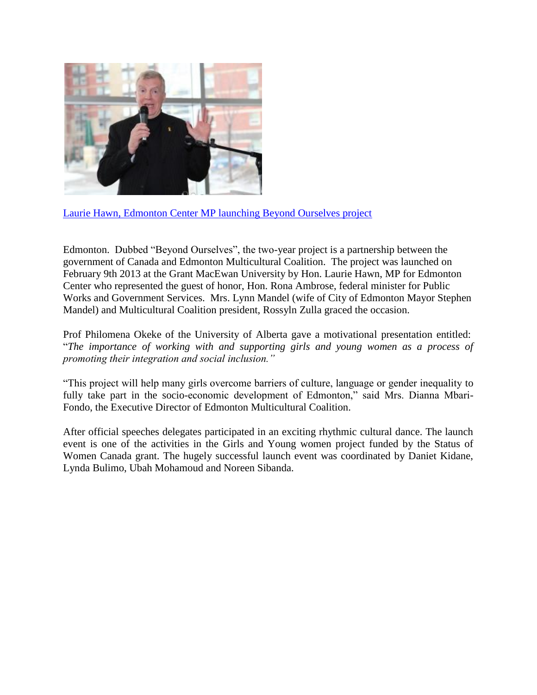

[Laurie Hawn, Edmonton Center MP launching Beyond Ourselves project](http://www.emcoalition.ca/wp-content/uploads/2013/02/IMG_1415.jpg)

Edmonton. Dubbed "Beyond Ourselves", the two-year project is a partnership between the government of Canada and Edmonton Multicultural Coalition. The project was launched on February 9th 2013 at the Grant MacEwan University by Hon. Laurie Hawn, MP for Edmonton Center who represented the guest of honor, Hon. Rona Ambrose, federal minister for Public Works and Government Services. Mrs. Lynn Mandel (wife of City of Edmonton Mayor Stephen Mandel) and Multicultural Coalition president, Rossyln Zulla graced the occasion.

Prof Philomena Okeke of the University of Alberta gave a motivational presentation entitled: "*The importance of working with and supporting girls and young women as a process of promoting their integration and social inclusion."*

"This project will help many girls overcome barriers of culture, language or gender inequality to fully take part in the socio-economic development of Edmonton," said Mrs. Dianna Mbari-Fondo, the Executive Director of Edmonton Multicultural Coalition.

After official speeches delegates participated in an exciting rhythmic cultural dance. The launch event is one of the activities in the Girls and Young women project funded by the Status of Women Canada grant. The hugely successful launch event was coordinated by Daniet Kidane, Lynda Bulimo, Ubah Mohamoud and Noreen Sibanda.